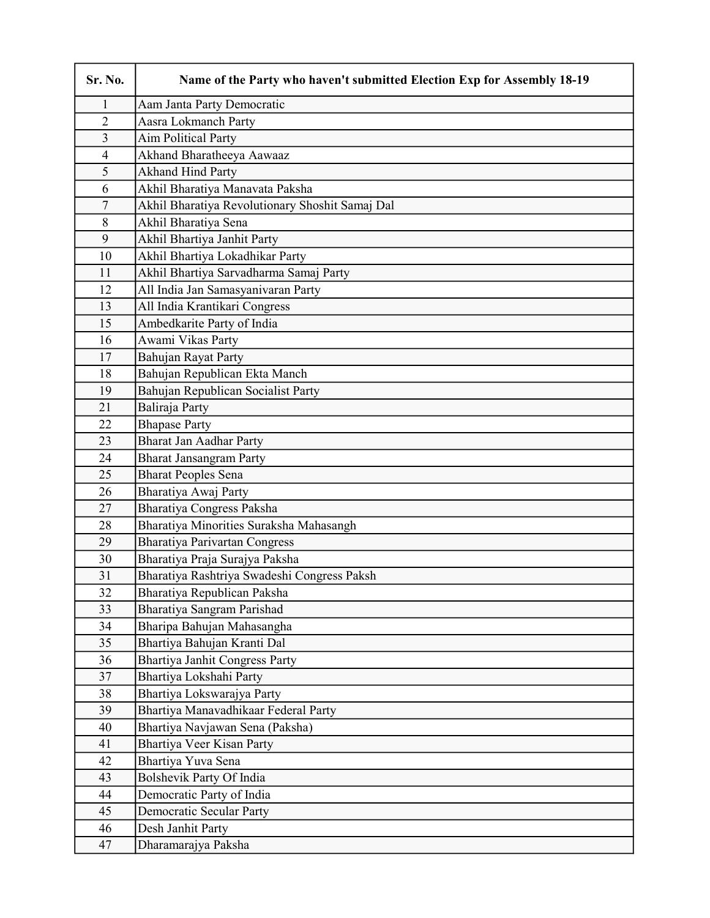| Sr. No.                 | Name of the Party who haven't submitted Election Exp for Assembly 18-19 |
|-------------------------|-------------------------------------------------------------------------|
| 1                       | Aam Janta Party Democratic                                              |
| $\overline{2}$          | Aasra Lokmanch Party                                                    |
| $\overline{3}$          | <b>Aim Political Party</b>                                              |
| $\overline{\mathbf{4}}$ | Akhand Bharatheeya Aawaaz                                               |
| 5                       | <b>Akhand Hind Party</b>                                                |
| 6                       | Akhil Bharatiya Manavata Paksha                                         |
| $\overline{7}$          | Akhil Bharatiya Revolutionary Shoshit Samaj Dal                         |
| 8                       | Akhil Bharatiya Sena                                                    |
| 9                       | Akhil Bhartiya Janhit Party                                             |
| 10                      | Akhil Bhartiya Lokadhikar Party                                         |
| 11                      | Akhil Bhartiya Sarvadharma Samaj Party                                  |
| 12                      | All India Jan Samasyanivaran Party                                      |
| 13                      | All India Krantikari Congress                                           |
| 15                      | Ambedkarite Party of India                                              |
| 16                      | Awami Vikas Party                                                       |
| 17                      | Bahujan Rayat Party                                                     |
| 18                      | Bahujan Republican Ekta Manch                                           |
| 19                      | Bahujan Republican Socialist Party                                      |
| 21                      | Baliraja Party                                                          |
| 22                      | <b>Bhapase Party</b>                                                    |
| 23                      | Bharat Jan Aadhar Party                                                 |
| 24                      | <b>Bharat Jansangram Party</b>                                          |
| 25                      | <b>Bharat Peoples Sena</b>                                              |
| 26                      | Bharatiya Awaj Party                                                    |
| 27                      | Bharatiya Congress Paksha                                               |
| 28                      | Bharatiya Minorities Suraksha Mahasangh                                 |
| 29                      | <b>Bharatiya Parivartan Congress</b>                                    |
| 30                      | Bharatiya Praja Surajya Paksha                                          |
| 31                      | Bharatiya Rashtriya Swadeshi Congress Paksh                             |
| 32                      | Bharatiya Republican Paksha                                             |
| 33                      | Bharatiya Sangram Parishad                                              |
| 34                      | Bharipa Bahujan Mahasangha                                              |
| 35                      | Bhartiya Bahujan Kranti Dal                                             |
| 36                      | <b>Bhartiya Janhit Congress Party</b>                                   |
| 37                      | Bhartiya Lokshahi Party                                                 |
| 38                      | Bhartiya Lokswarajya Party                                              |
| 39                      | Bhartiya Manavadhikaar Federal Party                                    |
| 40                      | Bhartiya Navjawan Sena (Paksha)                                         |
| 41                      | Bhartiya Veer Kisan Party                                               |
| 42<br>43                | Bhartiya Yuva Sena<br>Bolshevik Party Of India                          |
| 44                      | Democratic Party of India                                               |
| 45                      | Democratic Secular Party                                                |
| 46                      | Desh Janhit Party                                                       |
| 47                      | Dharamarajya Paksha                                                     |
|                         |                                                                         |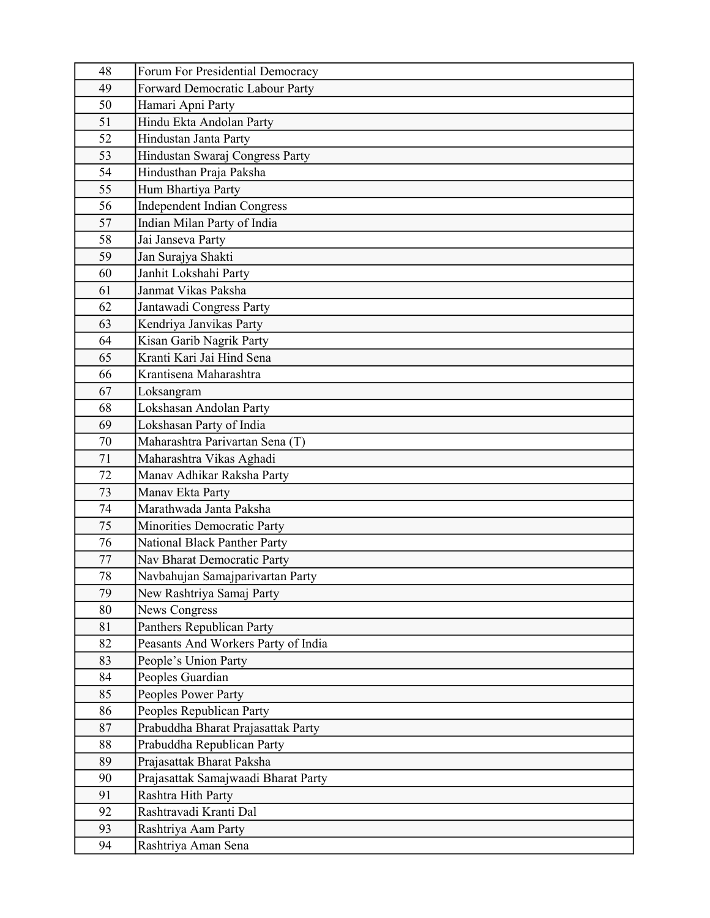| 48       | Forum For Presidential Democracy                                 |
|----------|------------------------------------------------------------------|
| 49       | Forward Democratic Labour Party                                  |
| 50       | Hamari Apni Party                                                |
| 51       | Hindu Ekta Andolan Party                                         |
| 52       | Hindustan Janta Party                                            |
| 53       | Hindustan Swaraj Congress Party                                  |
| 54       | Hindusthan Praja Paksha                                          |
| 55       | Hum Bhartiya Party                                               |
| 56       | <b>Independent Indian Congress</b>                               |
| 57       | Indian Milan Party of India                                      |
| 58       | Jai Janseva Party                                                |
| 59       | Jan Surajya Shakti                                               |
| 60       | Janhit Lokshahi Party                                            |
| 61       | Janmat Vikas Paksha                                              |
| 62       | Jantawadi Congress Party                                         |
| 63       | Kendriya Janvikas Party                                          |
| 64       | Kisan Garib Nagrik Party                                         |
| 65       | Kranti Kari Jai Hind Sena                                        |
| 66       | Krantisena Maharashtra                                           |
| 67       | Loksangram                                                       |
| 68       | Lokshasan Andolan Party                                          |
| 69       | Lokshasan Party of India                                         |
| 70       | Maharashtra Parivartan Sena (T)                                  |
| 71       | Maharashtra Vikas Aghadi                                         |
| 72       | Manav Adhikar Raksha Party                                       |
| 73       | Manav Ekta Party                                                 |
| 74       | Marathwada Janta Paksha                                          |
| 75       | Minorities Democratic Party                                      |
| 76       | <b>National Black Panther Party</b>                              |
| 77       | Nav Bharat Democratic Party                                      |
| 78       | Navbahujan Samajparivartan Party                                 |
| 79       | New Rashtriya Samaj Party                                        |
| 80       | <b>News Congress</b>                                             |
| 81<br>82 | Panthers Republican Party<br>Peasants And Workers Party of India |
| 83       | People's Union Party                                             |
| 84       | Peoples Guardian                                                 |
| 85       | Peoples Power Party                                              |
| 86       | Peoples Republican Party                                         |
| 87       | Prabuddha Bharat Prajasattak Party                               |
| 88       | Prabuddha Republican Party                                       |
| 89       | Prajasattak Bharat Paksha                                        |
| 90       | Prajasattak Samajwaadi Bharat Party                              |
| 91       | Rashtra Hith Party                                               |
| 92       | Rashtravadi Kranti Dal                                           |
| 93       | Rashtriya Aam Party                                              |
| 94       | Rashtriya Aman Sena                                              |